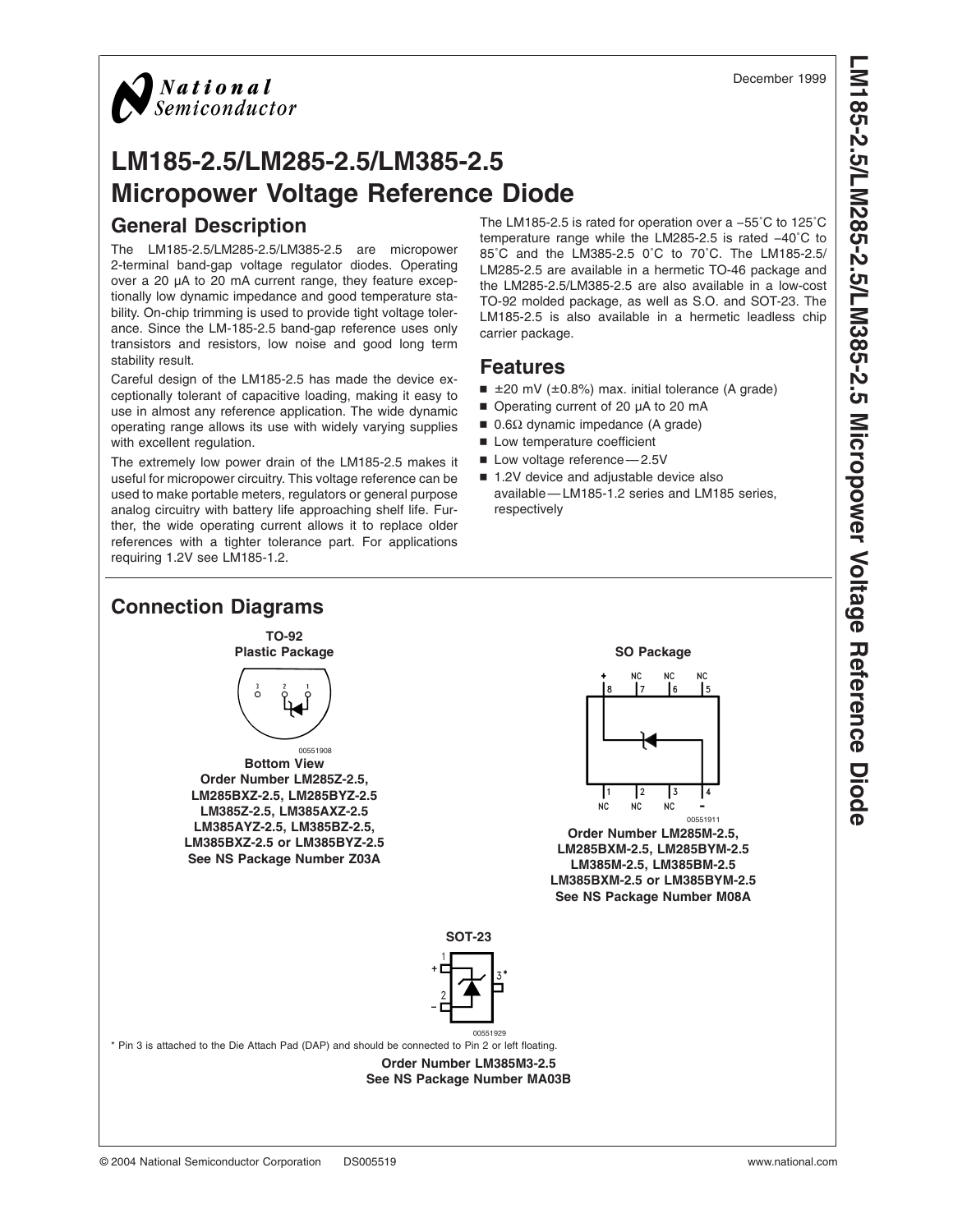

# **LM185-2.5/LM285-2.5/LM385-2.5 Micropower Voltage Reference Diode General Description**

The LM185-2.5/LM285-2.5/LM385-2.5 are micropower 2-terminal band-gap voltage regulator diodes. Operating over a 20 µA to 20 mA current range, they feature exceptionally low dynamic impedance and good temperature stability. On-chip trimming is used to provide tight voltage tolerance. Since the LM-185-2.5 band-gap reference uses only transistors and resistors, low noise and good long term stability result.

Careful design of the LM185-2.5 has made the device exceptionally tolerant of capacitive loading, making it easy to use in almost any reference application. The wide dynamic operating range allows its use with widely varying supplies with excellent regulation.

The extremely low power drain of the LM185-2.5 makes it useful for micropower circuitry. This voltage reference can be used to make portable meters, regulators or general purpose analog circuitry with battery life approaching shelf life. Further, the wide operating current allows it to replace older references with a tighter tolerance part. For applications requiring 1.2V see LM185-1.2.

The LM185-2.5 is rated for operation over a −55˚C to 125˚C temperature range while the LM285-2.5 is rated −40˚C to 85˚C and the LM385-2.5 0˚C to 70˚C. The LM185-2.5/ LM285-2.5 are available in a hermetic TO-46 package and the LM285-2.5/LM385-2.5 are also available in a low-cost TO-92 molded package, as well as S.O. and SOT-23. The LM185-2.5 is also available in a hermetic leadless chip carrier package.

## **Features**

- $\equiv$  ±20 mV (±0.8%) max. initial tolerance (A grade)
- Operating current of 20 µA to 20 mA
- $■$  0.6Ω dynamic impedance (A grade)
- **n** Low temperature coefficient
- $\blacksquare$  Low voltage reference 2.5V
- 1.2V device and adjustable device also available — LM185-1.2 series and LM185 series, respectively

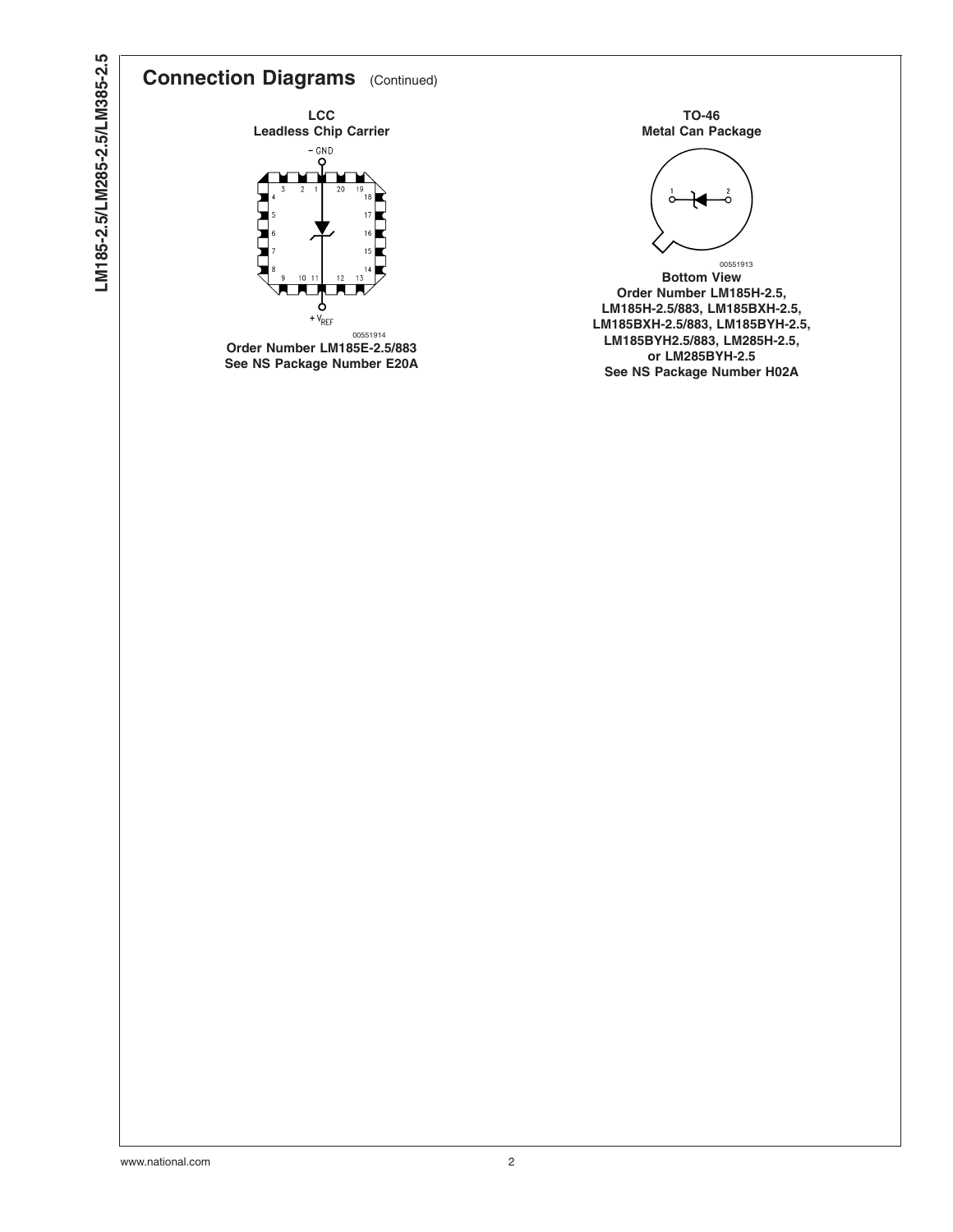# LM185-2.5/LM285-2.5/LM385-2.5 **LM185-2.5/LM285-2.5/LM385-2.5**

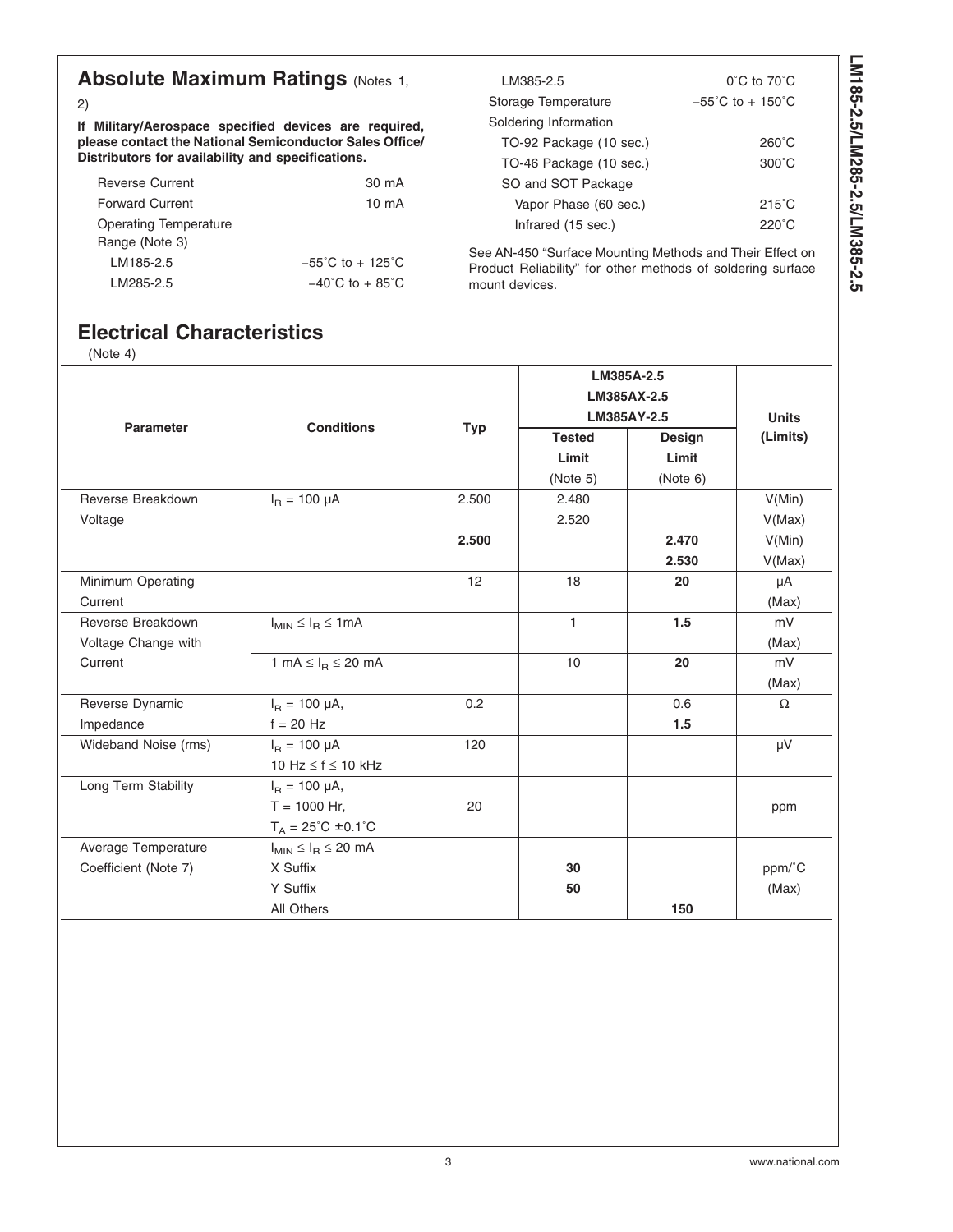## **Absolute Maximum Ratings (Notes [1,](#page-3-0)**

[2\)](#page-3-0)

**If Military/Aerospace specified devices are required, please contact the National Semiconductor Sales Office/ Distributors for availability and specifications.**

| <b>Reverse Current</b> | 30 mA                                 |
|------------------------|---------------------------------------|
| <b>Forward Current</b> | $10 \text{ mA}$                       |
| Operating Temperature  |                                       |
| Range (Note 3)         |                                       |
| LM185-2.5              | $-55^{\circ}$ C to + 125 $^{\circ}$ C |
| LM285-2.5              | $-40^{\circ}$ C to + 85 $^{\circ}$ C  |

| LM385-2.5               | $0^{\circ}$ C to $70^{\circ}$ C       |
|-------------------------|---------------------------------------|
| Storage Temperature     | $-55^{\circ}$ C to + 150 $^{\circ}$ C |
| Soldering Information   |                                       |
| TO-92 Package (10 sec.) | 260°C                                 |
| TO-46 Package (10 sec.) | $300^{\circ}$ C                       |
| SO and SOT Package      |                                       |
| Vapor Phase (60 sec.)   | $215^{\circ}$ C                       |
| Infrared (15 sec.)      | $220^\circ C$                         |

See AN-450 "Surface Mounting Methods and Their Effect on Product Reliability" for other methods of soldering surface mount devices.

## **Electrical Characteristics**

[\(Note 4\)](#page-4-0)

| <b>Parameter</b>     | <b>Conditions</b>                    |            | LM385A-2.5<br>LM385AX-2.5<br>LM385AY-2.5 | <b>Units</b>  |          |
|----------------------|--------------------------------------|------------|------------------------------------------|---------------|----------|
|                      |                                      | <b>Typ</b> | <b>Tested</b>                            | <b>Design</b> | (Limits) |
|                      |                                      |            | Limit                                    | Limit         |          |
|                      |                                      |            | (Note 5)                                 | (Note 6)      |          |
| Reverse Breakdown    | $I_R = 100 \mu A$                    | 2.500      | 2.480                                    |               | V(Min)   |
| Voltage              |                                      |            | 2.520                                    |               | V(Max)   |
|                      |                                      | 2.500      |                                          | 2.470         | V(Min)   |
|                      |                                      |            |                                          | 2.530         | V(Max)   |
| Minimum Operating    |                                      | 12         | 18                                       | 20            | μA       |
| Current              |                                      |            |                                          |               | (Max)    |
| Reverse Breakdown    | $I_{MIN} \leq I_B \leq 1mA$          |            | $\mathbf{1}$                             | 1.5           | mV       |
| Voltage Change with  |                                      |            |                                          |               | (Max)    |
| Current              | 1 mA $\leq$ $I_R \leq 20$ mA         |            | 10                                       | 20            | mV       |
|                      |                                      |            |                                          |               | (Max)    |
| Reverse Dynamic      | $I_B = 100 \mu A$ ,                  | 0.2        |                                          | 0.6           | $\Omega$ |
| Impedance            | $f = 20$ Hz                          |            |                                          | 1.5           |          |
| Wideband Noise (rms) | $I_{\rm B} = 100 \mu A$              | 120        |                                          |               | μV       |
|                      | 10 Hz $\leq$ f $\leq$ 10 kHz         |            |                                          |               |          |
| Long Term Stability  | $I_B = 100 \mu A$ ,                  |            |                                          |               |          |
|                      | $T = 1000$ Hr,                       | 20         |                                          |               | ppm      |
|                      | $T_A = 25^{\circ}C \pm 0.1^{\circ}C$ |            |                                          |               |          |
| Average Temperature  | $I_{MIN} \leq I_R \leq 20$ mA        |            |                                          |               |          |
| Coefficient (Note 7) | X Suffix                             |            | 30                                       |               | ppm/°C   |
|                      | Y Suffix                             |            | 50                                       |               | (Max)    |
|                      | All Others                           |            |                                          | 150           |          |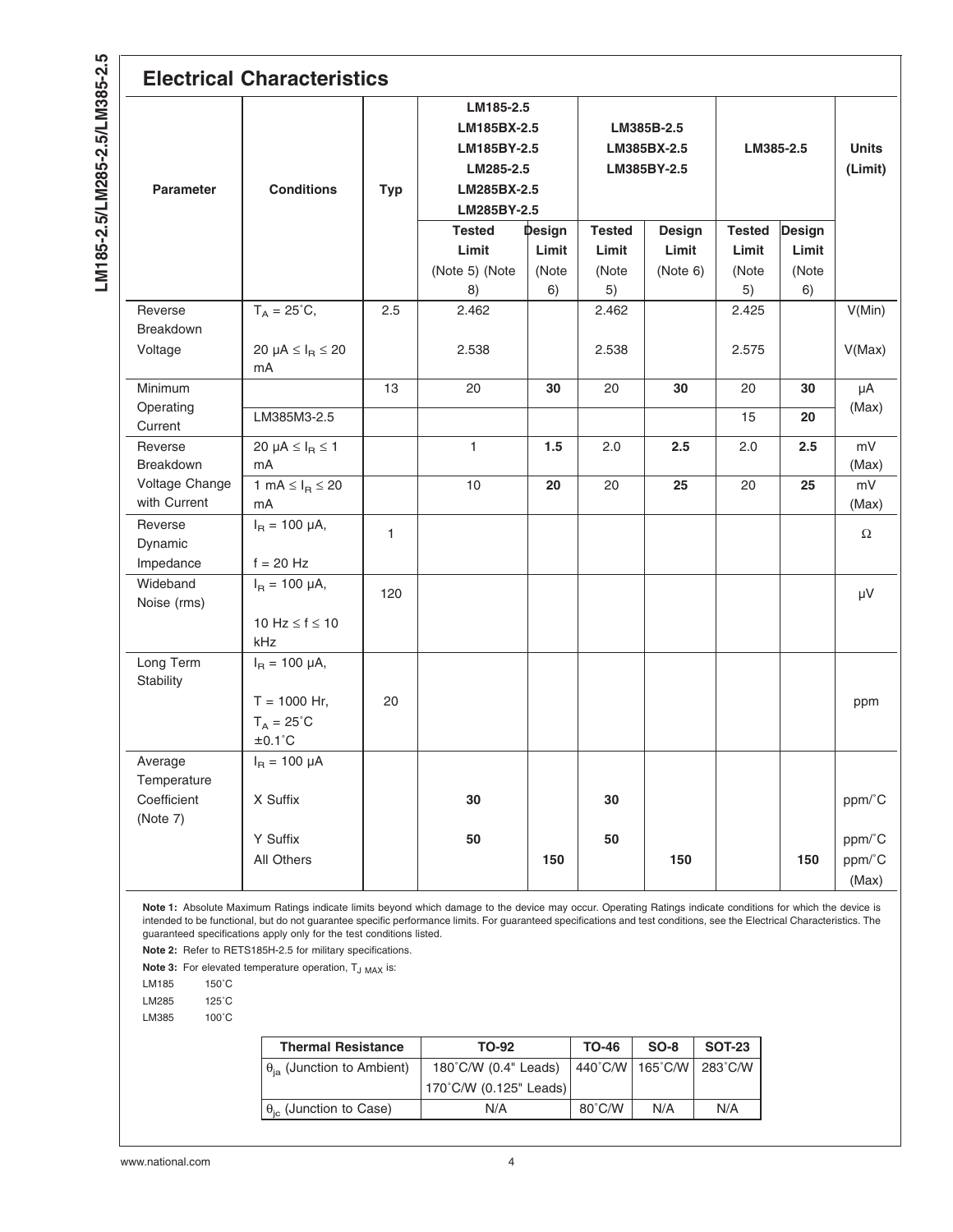<span id="page-3-0"></span>

| <b>Electrical Characteristics</b>                 |                                                                                 |              |                                                                                    |                                |                                          |                                    |                                       |                                |                           |
|---------------------------------------------------|---------------------------------------------------------------------------------|--------------|------------------------------------------------------------------------------------|--------------------------------|------------------------------------------|------------------------------------|---------------------------------------|--------------------------------|---------------------------|
| <b>Parameter</b>                                  | <b>Conditions</b>                                                               | <b>Typ</b>   | LM185-2.5<br>LM185BX-2.5<br>LM185BY-2.5<br>LM285-2.5<br>LM285BX-2.5<br>LM285BY-2.5 |                                | LM385B-2.5<br>LM385BX-2.5<br>LM385BY-2.5 |                                    | LM385-2.5                             |                                | <b>Units</b><br>(Limit)   |
|                                                   |                                                                                 |              | <b>Tested</b><br>Limit<br>(Note 5) (Note<br>8)                                     | Design<br>Limit<br>(Note<br>6) | <b>Tested</b><br>Limit<br>(Note<br>5)    | <b>Design</b><br>Limit<br>(Note 6) | <b>Tested</b><br>Limit<br>(Note<br>5) | Design<br>Limit<br>(Note<br>6) |                           |
| Reverse<br>Breakdown<br>Voltage                   | $T_A = 25^{\circ}C,$<br>20 $\mu$ A $\leq$ I <sub>R</sub> $\leq$ 20<br>mA        | 2.5          | 2.462<br>2.538                                                                     |                                | 2.462<br>2.538                           |                                    | 2.425<br>2.575                        |                                | V(Min)<br>V(Max)          |
| Minimum<br>Operating<br>Current                   | LM385M3-2.5                                                                     | 13           | 20                                                                                 | 30                             | 20                                       | 30                                 | 20<br>15                              | 30<br>20                       | μA<br>(Max)               |
| Reverse<br>Breakdown<br>Voltage Change            | 20 µA $\leq$ I <sub>R</sub> $\leq$ 1<br>mA<br>1 mA $\leq$ $I_R \leq 20$         |              | $\mathbf{1}$<br>10                                                                 | 1.5<br>20                      | 2.0<br>20                                | 2.5<br>25                          | 2.0<br>20                             | $2.5\,$<br>25                  | mV<br>(Max)<br>mV         |
| with Current<br>Reverse<br>Dynamic<br>Impedance   | mA<br>$I_R = 100 \mu A$ ,<br>$f = 20$ Hz                                        | $\mathbf{1}$ |                                                                                    |                                |                                          |                                    |                                       |                                | (Max)<br>Ω                |
| Wideband<br>Noise (rms)                           | $I_R = 100 \mu A$ ,<br>10 Hz $\leq$ f $\leq$ 10<br>kHz                          | 120          |                                                                                    |                                |                                          |                                    |                                       |                                | μV                        |
| Long Term<br>Stability                            | $I_R = 100 \mu A$ ,<br>$T = 1000$ Hr,<br>$T_A = 25^{\circ}C$<br>$±0.1^{\circ}C$ | 20           |                                                                                    |                                |                                          |                                    |                                       |                                | ppm                       |
| Average<br>Temperature<br>Coefficient<br>(Note 7) | $I_R = 100 \mu A$<br>X Suffix                                                   |              | 30                                                                                 |                                | 30                                       |                                    |                                       |                                | ppm/°C                    |
|                                                   | Y Suffix<br>All Others                                                          |              | 50                                                                                 | 150                            | 50                                       | 150                                |                                       | 150                            | ppm/°C<br>ppm/°C<br>(Max) |

**Note 1:** Absolute Maximum Ratings indicate limits beyond which damage to the device may occur. Operating Ratings indicate conditions for which the device is intended to be functional, but do not guarantee specific performance limits. For guaranteed specifications and test conditions, see the Electrical Characteristics. The guaranteed specifications apply only for the test conditions listed.

**Note 2:** Refer to RETS185H-2.5 for military specifications.

Note 3: For elevated temperature operation, T<sub>J MAX</sub> is:

LM185 150˚C LM285 125˚C

LM385 100˚C

| <b>Thermal Resistance</b>                  | TO-92                  | <b>TO-46</b> | $SO-8$                      | <b>SOT-23</b> |
|--------------------------------------------|------------------------|--------------|-----------------------------|---------------|
| $\theta_{\text{ia}}$ (Junction to Ambient) | 180°C/W (0.4" Leads)   |              | 440°C/W   165°C/W   283°C/W |               |
|                                            | 170°C/W (0.125" Leads) |              |                             |               |
| $\theta_{\rm ic}$ (Junction to Case)       | N/A                    | 80°C/W       | N/A                         | N/A           |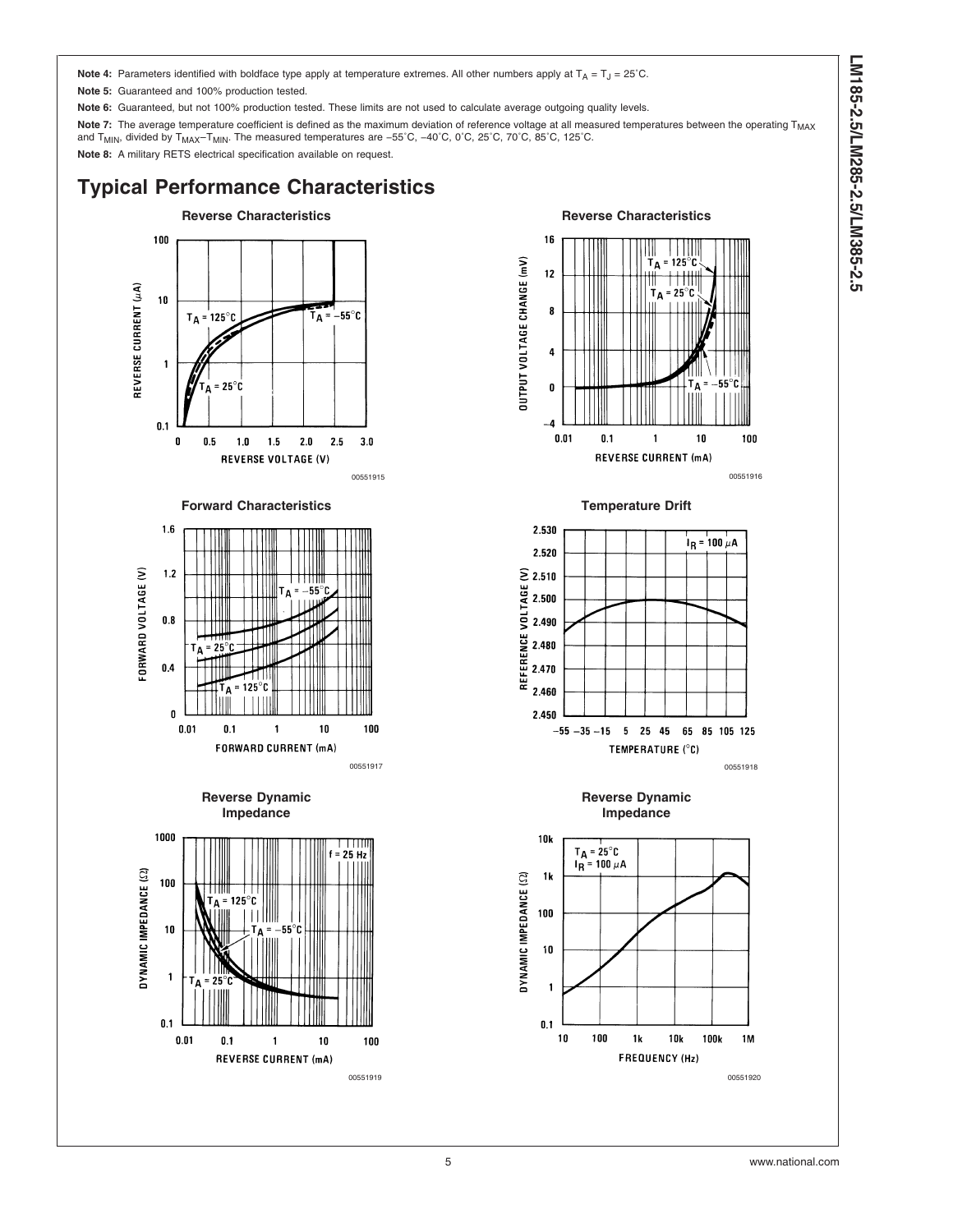LM185-2.5/LM285-2.5/LM385-2.5 **LM185-2.5/LM285-2.5/LM385-2.5**

<span id="page-4-0"></span>**Note 4:** Parameters identified with boldface type apply at temperature extremes. All other numbers apply at  $T_A = T_J = 25^\circ C$ .

**Note 5:** Guaranteed and 100% production tested.

**Note 6:** Guaranteed, but not 100% production tested. These limits are not used to calculate average outgoing quality levels.

Note 7: The average temperature coefficient is defined as the maximum deviation of reference voltage at all measured temperatures between the operating T<sub>MAX</sub> and T<sub>MIN</sub>, divided by T<sub>MAX</sub>–T<sub>MIN</sub>. The measured temperatures are −55°C, −40°C, 0°C, 25°C, 70°C, 85°C, 125°C.

**Note 8:** A military RETS electrical specification available on request.

## **Typical Performance Characteristics**



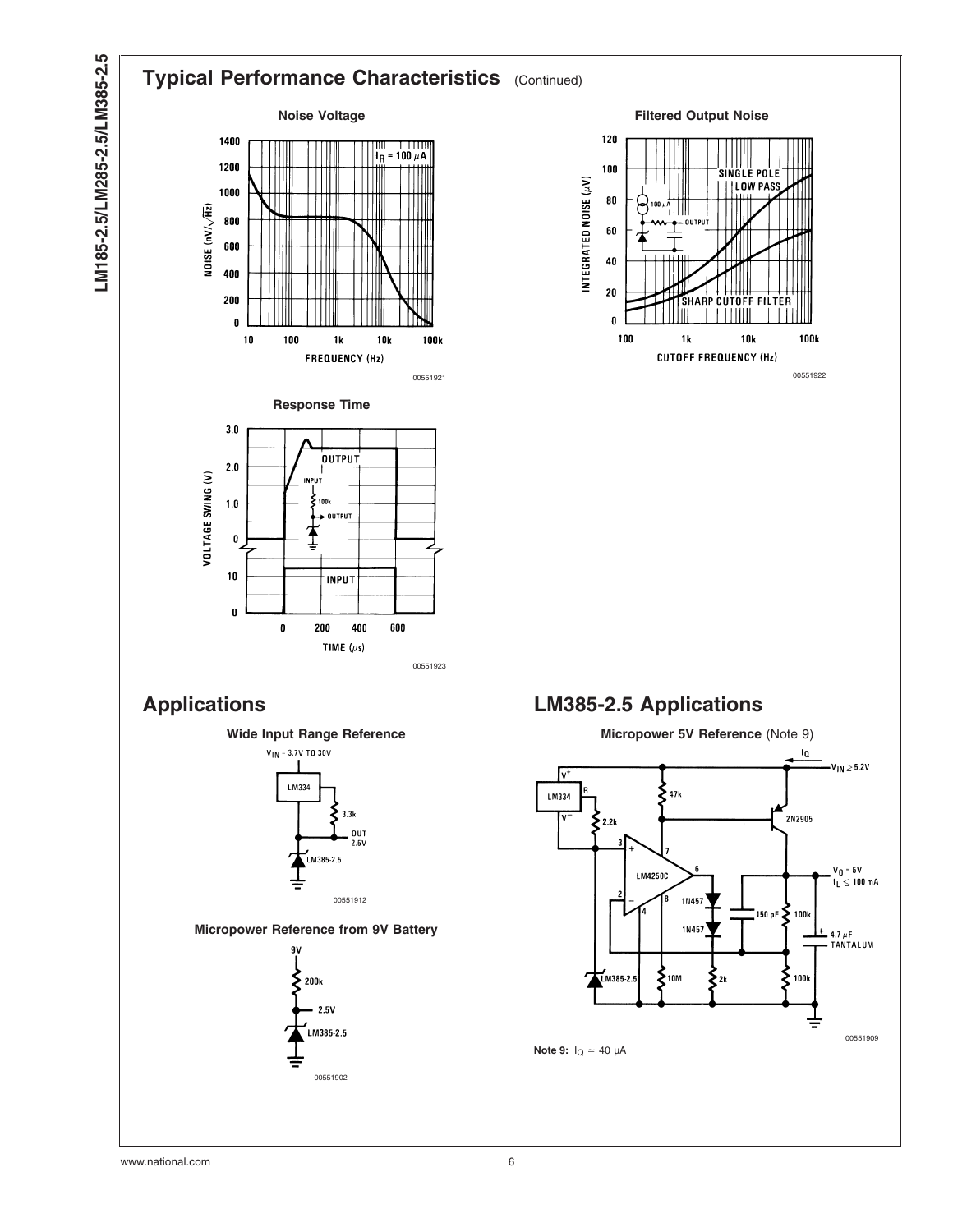

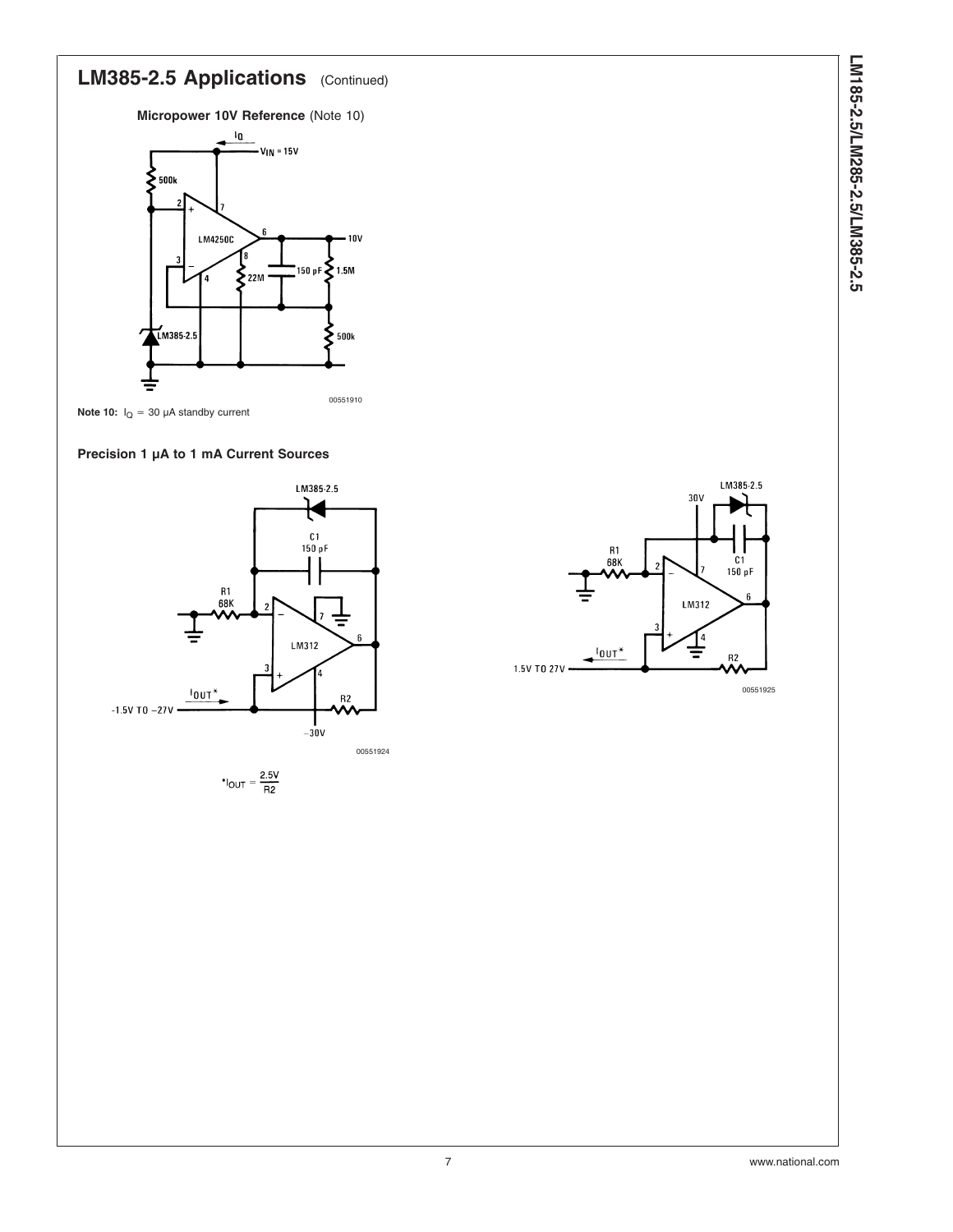# LM385-2.5 Applications (Continued)

**Micropower 10V Reference** (Note 10)





### **Precision 1 µA to 1 mA Current Sources**



$$
^*I_{OUT} = \frac{2.5V}{R2}
$$

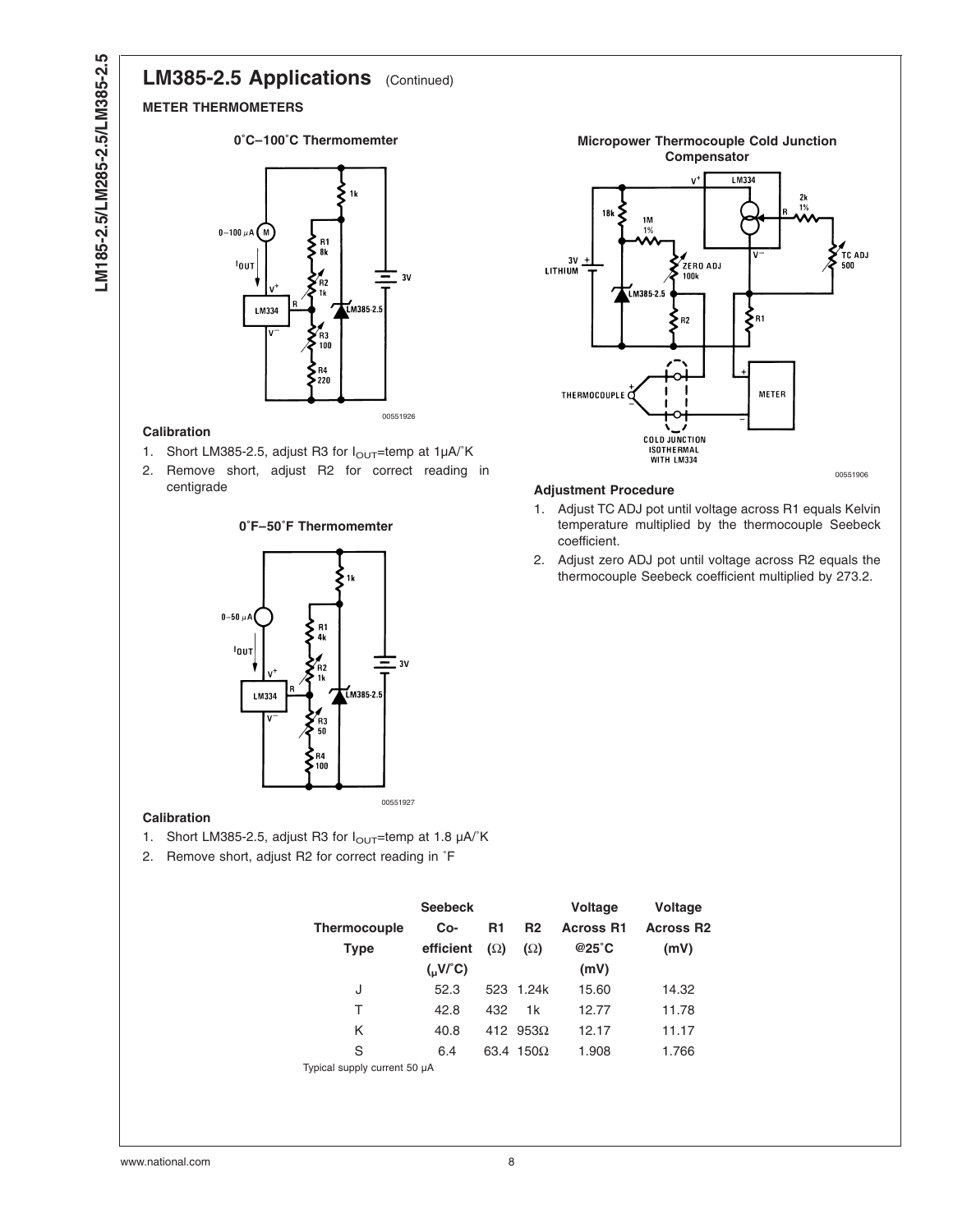## LM385-2.5 Applications (Continued)

#### **METER THERMOMETERS**





#### **Calibration**

- 1. Short LM385-2.5, adjust R3 for  $I_{\text{OUT}}$ =temp at  $1\mu\text{A}/\text{}^{\circ}\text{K}$
- 2. Remove short, adjust R2 for correct reading in centigrade



#### **0˚F–50˚F Thermomemter**





### **Adjustment Procedure**

- 1. Adjust TC ADJ pot until voltage across R1 equals Kelvin temperature multiplied by the thermocouple Seebeck coefficient.
- 2. Adjust zero ADJ pot until voltage across R2 equals the thermocouple Seebeck coefficient multiplied by 273.2.

## **Calibration**

- 1. Short LM385-2.5, adjust R3 for  $I_{\text{OUT}}$ =temp at 1.8  $\mu$ A/ $\textdegree$ K
- 2. Remove short, adjust R2 for correct reading in ˚F

| <b>Thermocouple</b><br><b>Type</b> | <b>Seebeck</b><br>Co-<br>efficient | R1<br>$(\Omega)$ | R <sub>2</sub><br>$(\Omega)$ | <b>Voltage</b><br><b>Across R1</b><br>$@25^\circ C$ | Voltage<br><b>Across R2</b><br>(mV) |
|------------------------------------|------------------------------------|------------------|------------------------------|-----------------------------------------------------|-------------------------------------|
|                                    | $(J' \circ C)$                     |                  |                              | (mV)                                                |                                     |
| J                                  | 52.3                               | 523              | 1.24k                        | 15.60                                               | 14.32                               |
| т                                  | 42.8                               | 432              | 1k                           | 12.77                                               | 11.78                               |
| Κ                                  | 40.8                               | 412              | $953\Omega$                  | 12.17                                               | 11.17                               |
| S                                  | 6.4                                | 63.4             | 150Q                         | 1.908                                               | 1.766                               |
| Typical supply current 50 µA       |                                    |                  |                              |                                                     |                                     |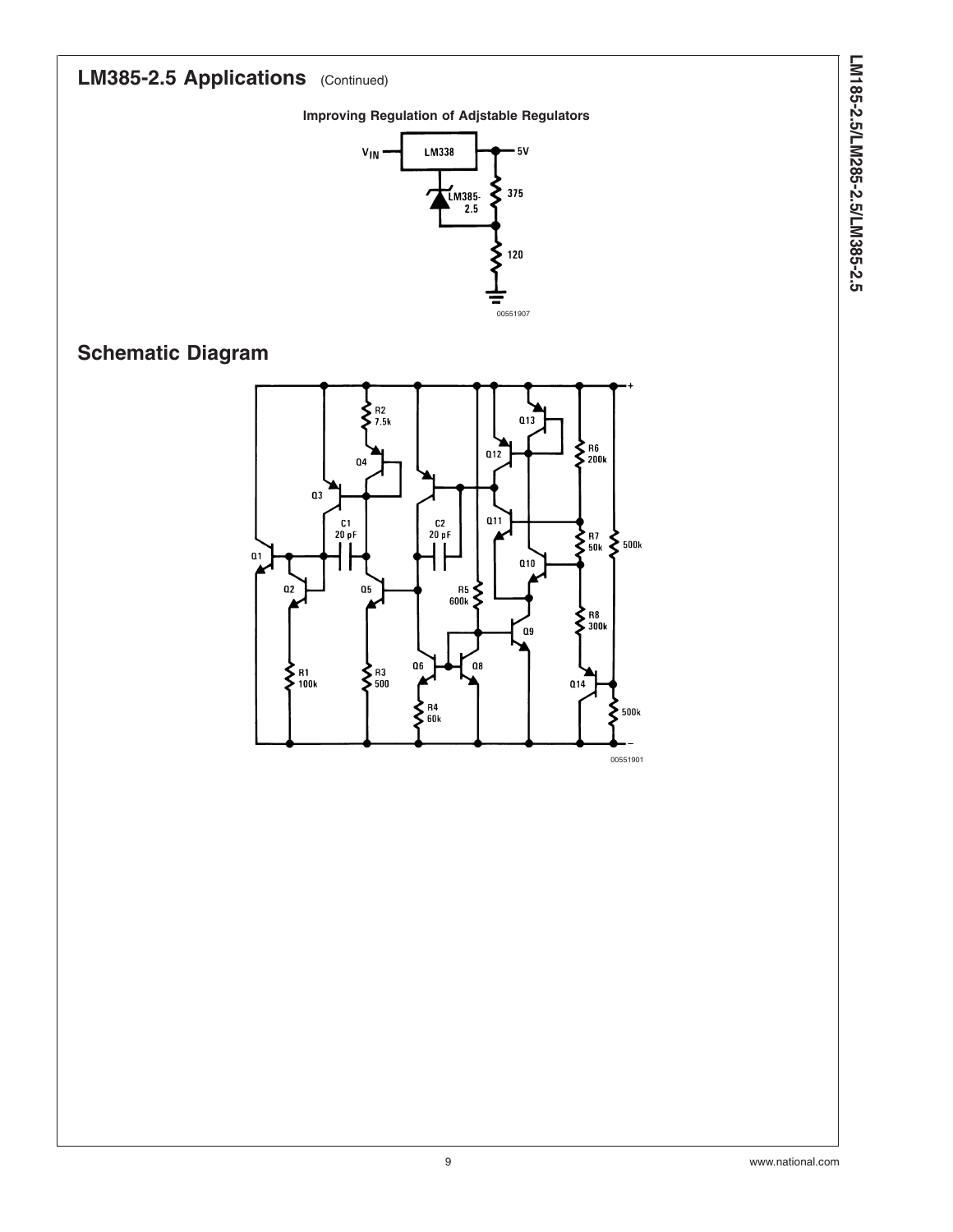# LM385-2.5 Applications (Continued)

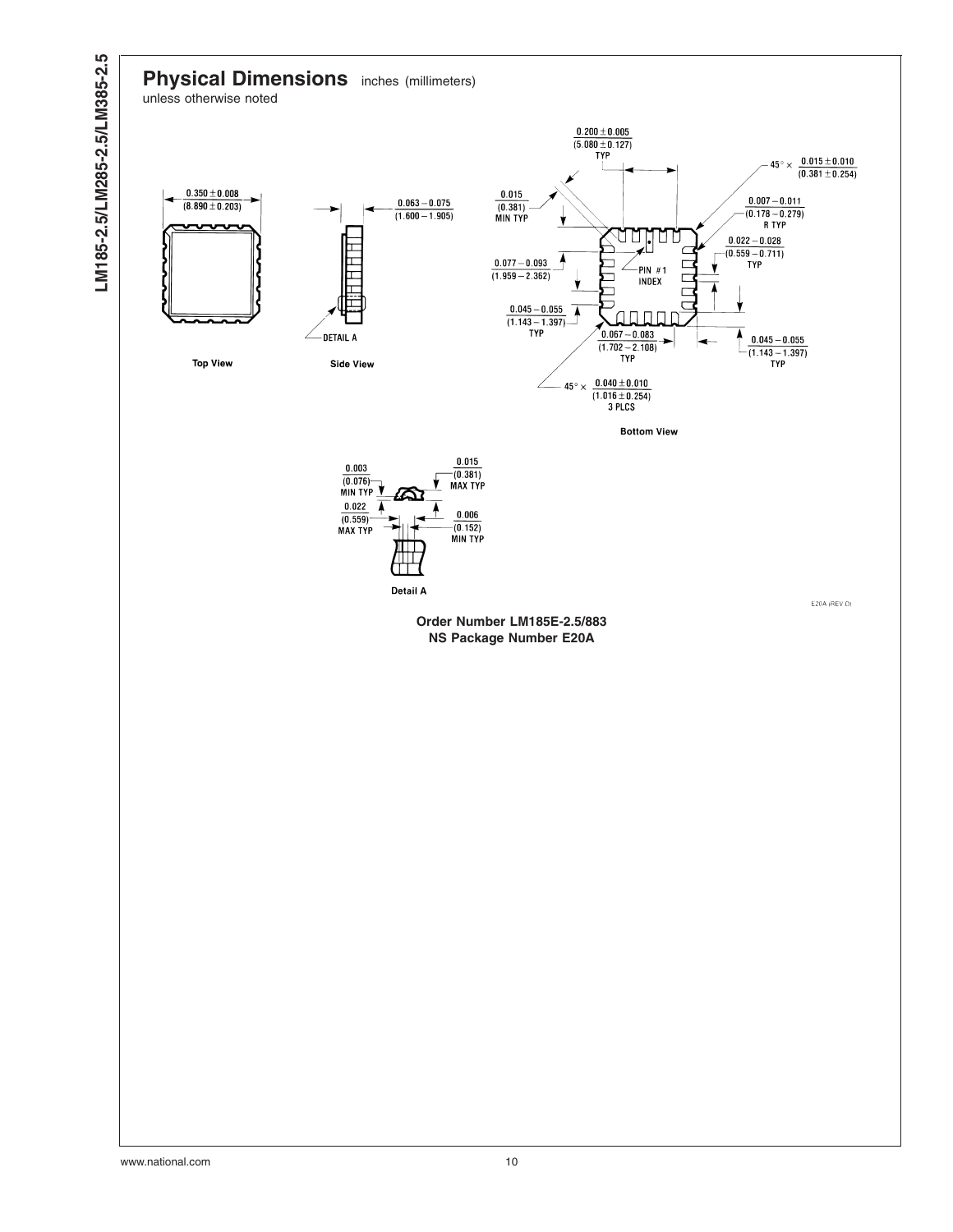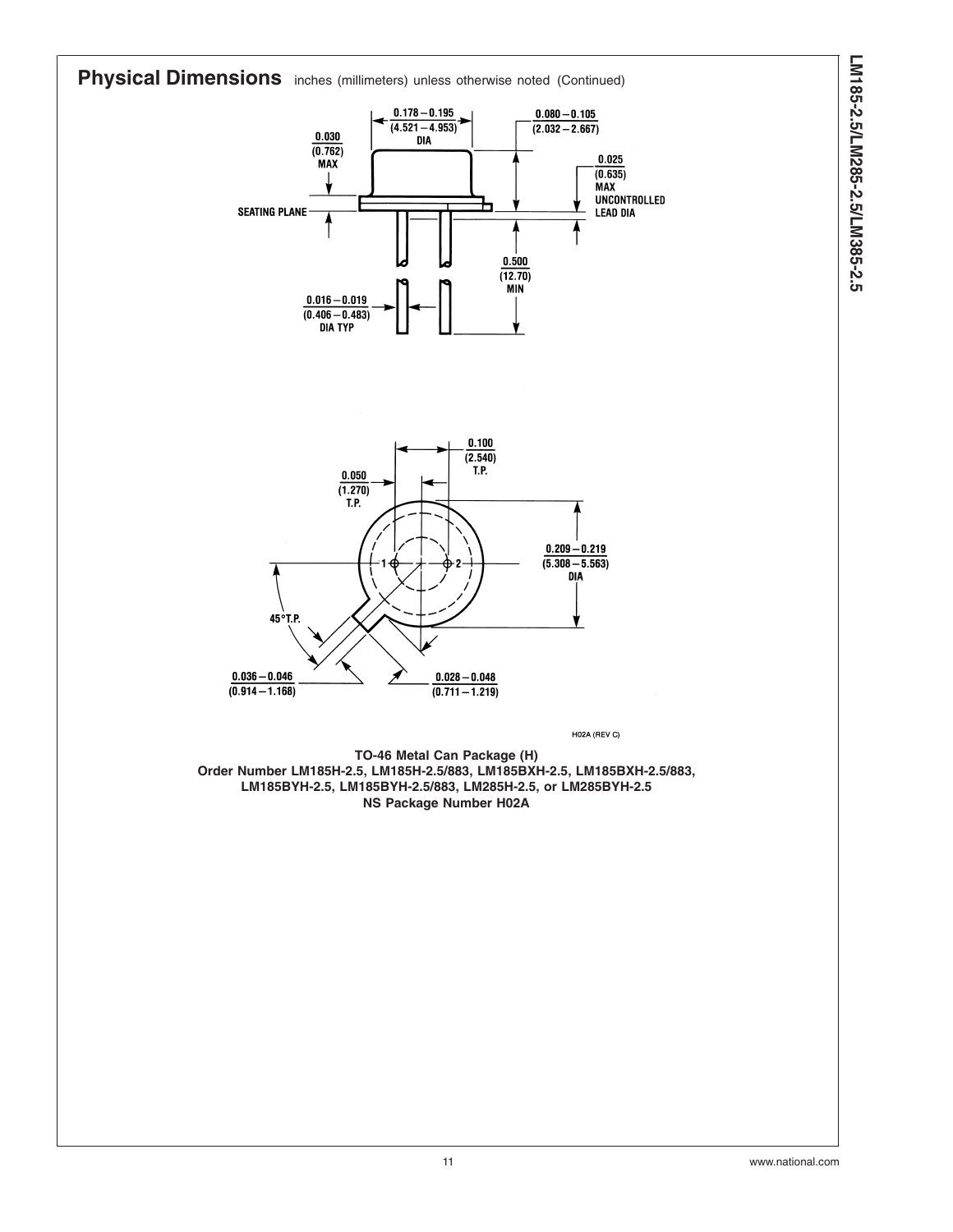

**LM185-2.5/LM285-2.5/LM385-2.5**

LM185-2.5/LM285-2.5/LM385-2.5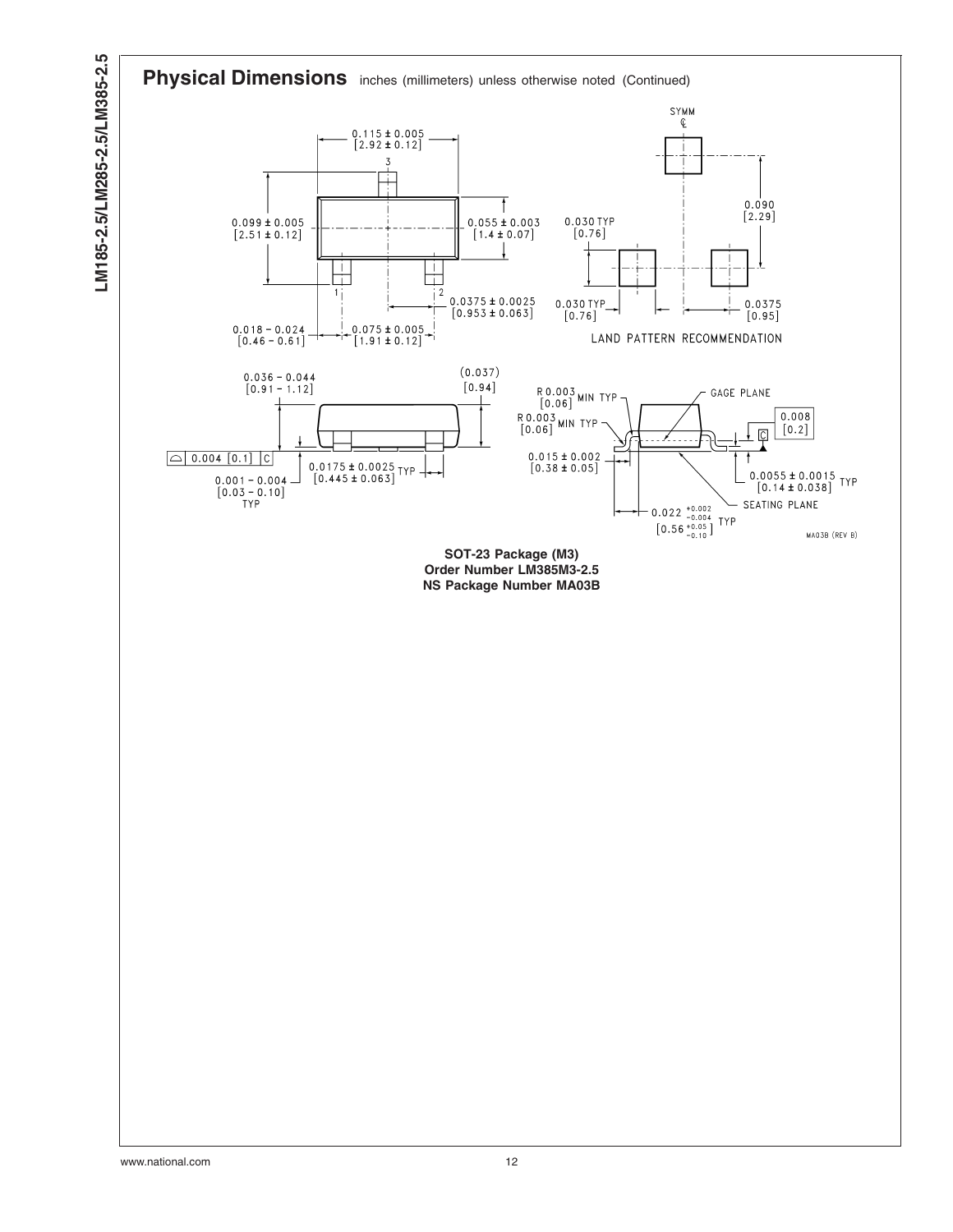

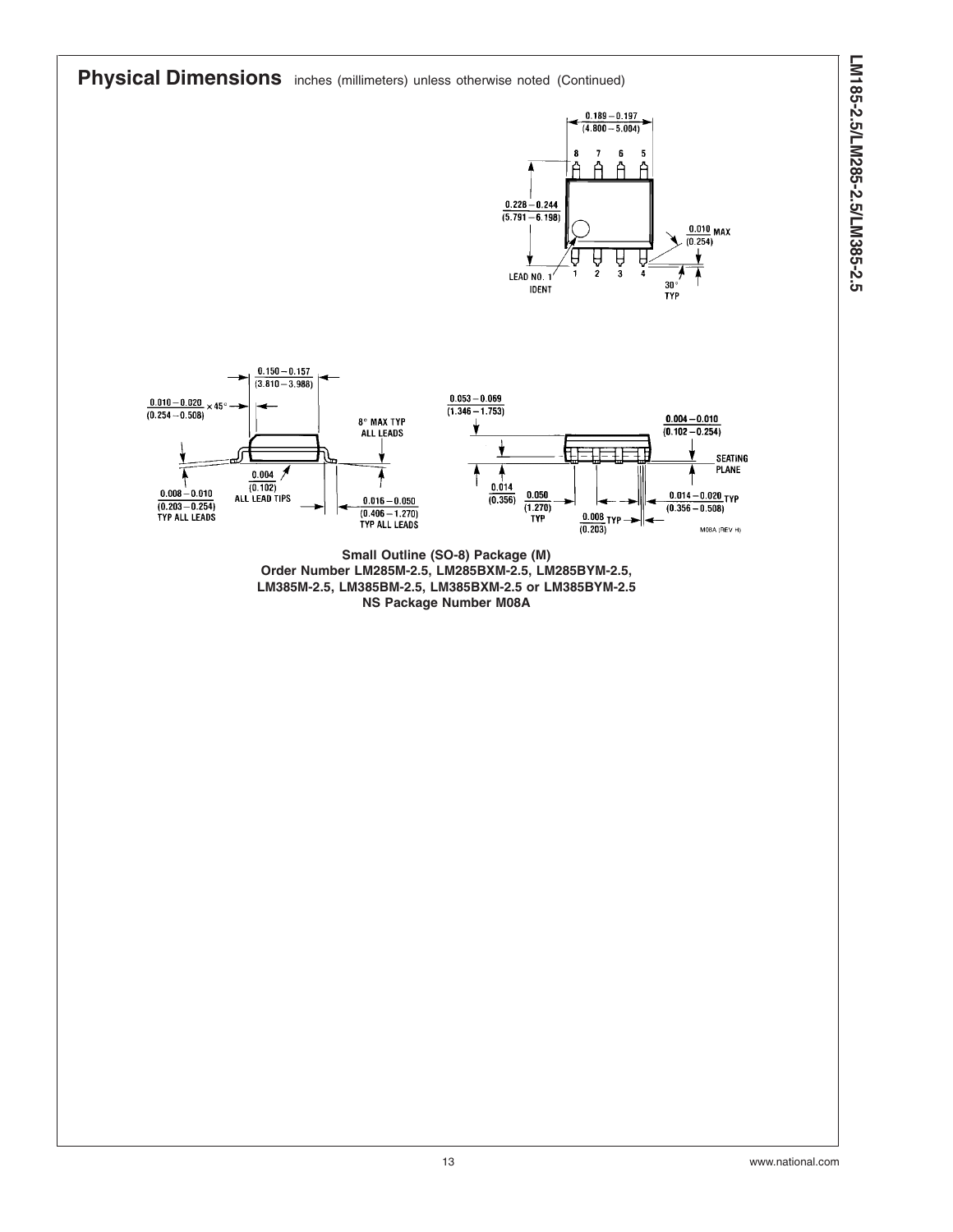**Physical Dimensions** inches (millimeters) unless otherwise noted (Continued)

 $0.150 - 0.157$ 





**Small Outline (SO-8) Package (M) Order Number LM285M-2.5, LM285BXM-2.5, LM285BYM-2.5, LM385M-2.5, LM385BM-2.5, LM385BXM-2.5 or LM385BYM-2.5 NS Package Number M08A**